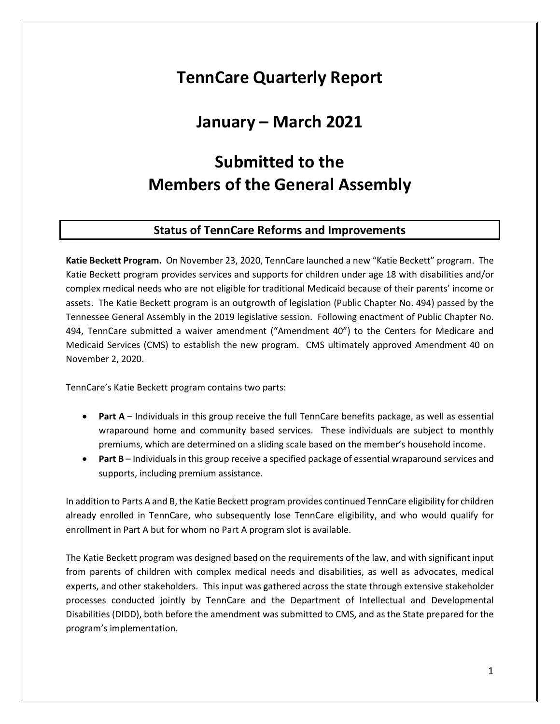# **TennCare Quarterly Report**

## **January – March 2021**

# **Submitted to the Members of the General Assembly**

## **Status of TennCare Reforms and Improvements**

**Katie Beckett Program.** On November 23, 2020, TennCare launched a new "Katie Beckett" program. The Katie Beckett program provides services and supports for children under age 18 with disabilities and/or complex medical needs who are not eligible for traditional Medicaid because of their parents' income or assets. The Katie Beckett program is an outgrowth of legislation (Public Chapter No. 494) passed by the Tennessee General Assembly in the 2019 legislative session. Following enactment of Public Chapter No. 494, TennCare submitted a waiver amendment ("Amendment 40") to the Centers for Medicare and Medicaid Services (CMS) to establish the new program. CMS ultimately approved Amendment 40 on November 2, 2020.

TennCare's Katie Beckett program contains two parts:

- **Part A** Individuals in this group receive the full TennCare benefits package, as well as essential wraparound home and community based services. These individuals are subject to monthly premiums, which are determined on a sliding scale based on the member's household income.
- **Part B** Individuals in this group receive a specified package of essential wraparound services and supports, including premium assistance.

In addition to Parts A and B, the Katie Beckett program provides continued TennCare eligibility for children already enrolled in TennCare, who subsequently lose TennCare eligibility, and who would qualify for enrollment in Part A but for whom no Part A program slot is available.

The Katie Beckett program was designed based on the requirements of the law, and with significant input from parents of children with complex medical needs and disabilities, as well as advocates, medical experts, and other stakeholders. This input was gathered across the state through extensive stakeholder processes conducted jointly by TennCare and the Department of Intellectual and Developmental Disabilities (DIDD), both before the amendment was submitted to CMS, and as the State prepared for the program's implementation.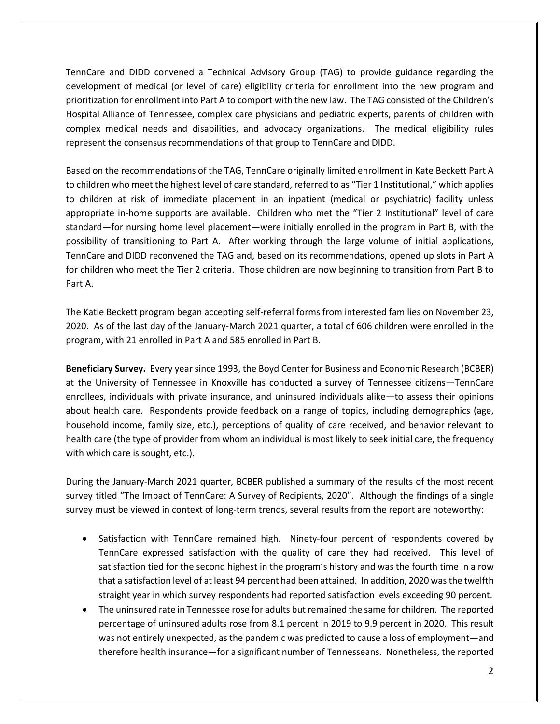TennCare and DIDD convened a Technical Advisory Group (TAG) to provide guidance regarding the development of medical (or level of care) eligibility criteria for enrollment into the new program and prioritization for enrollment into Part A to comport with the new law. The TAG consisted of the Children's Hospital Alliance of Tennessee, complex care physicians and pediatric experts, parents of children with complex medical needs and disabilities, and advocacy organizations. The medical eligibility rules represent the consensus recommendations of that group to TennCare and DIDD.

Based on the recommendations of the TAG, TennCare originally limited enrollment in Kate Beckett Part A to children who meet the highest level of care standard, referred to as "Tier 1 Institutional," which applies to children at risk of immediate placement in an inpatient (medical or psychiatric) facility unless appropriate in-home supports are available. Children who met the "Tier 2 Institutional" level of care standard—for nursing home level placement—were initially enrolled in the program in Part B, with the possibility of transitioning to Part A. After working through the large volume of initial applications, TennCare and DIDD reconvened the TAG and, based on its recommendations, opened up slots in Part A for children who meet the Tier 2 criteria. Those children are now beginning to transition from Part B to Part A.

The Katie Beckett program began accepting self-referral forms from interested families on November 23, 2020. As of the last day of the January-March 2021 quarter, a total of 606 children were enrolled in the program, with 21 enrolled in Part A and 585 enrolled in Part B.

**Beneficiary Survey.** Every year since 1993, the Boyd Center for Business and Economic Research (BCBER) at the University of Tennessee in Knoxville has conducted a survey of Tennessee citizens—TennCare enrollees, individuals with private insurance, and uninsured individuals alike—to assess their opinions about health care. Respondents provide feedback on a range of topics, including demographics (age, household income, family size, etc.), perceptions of quality of care received, and behavior relevant to health care (the type of provider from whom an individual is most likely to seek initial care, the frequency with which care is sought, etc.).

During the January-March 2021 quarter, BCBER published a summary of the results of the most recent survey titled "The Impact of TennCare: A Survey of Recipients, 2020". Although the findings of a single survey must be viewed in context of long-term trends, several results from the report are noteworthy:

- Satisfaction with TennCare remained high. Ninety-four percent of respondents covered by TennCare expressed satisfaction with the quality of care they had received. This level of satisfaction tied for the second highest in the program's history and was the fourth time in a row that a satisfaction level of at least 94 percent had been attained. In addition, 2020 was the twelfth straight year in which survey respondents had reported satisfaction levels exceeding 90 percent.
- The uninsured rate in Tennessee rose for adults but remained the same for children. The reported percentage of uninsured adults rose from 8.1 percent in 2019 to 9.9 percent in 2020. This result was not entirely unexpected, as the pandemic was predicted to cause a loss of employment—and therefore health insurance—for a significant number of Tennesseans. Nonetheless, the reported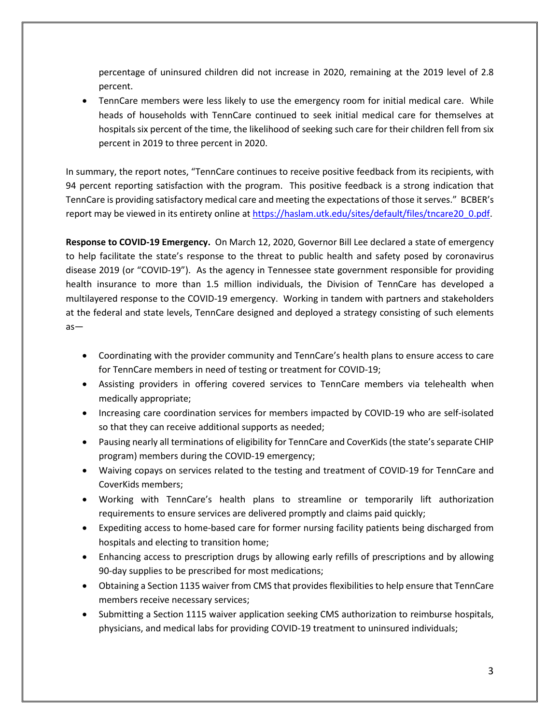percentage of uninsured children did not increase in 2020, remaining at the 2019 level of 2.8 percent.

• TennCare members were less likely to use the emergency room for initial medical care. While heads of households with TennCare continued to seek initial medical care for themselves at hospitals six percent of the time, the likelihood of seeking such care for their children fell from six percent in 2019 to three percent in 2020.

In summary, the report notes, "TennCare continues to receive positive feedback from its recipients, with 94 percent reporting satisfaction with the program. This positive feedback is a strong indication that TennCare is providing satisfactory medical care and meeting the expectations of those it serves." BCBER's report may be viewed in its entirety online at [https://haslam.utk.edu/sites/default/files/tncare20\\_0.pdf.](https://haslam.utk.edu/sites/default/files/tncare20_0.pdf)

**Response to COVID-19 Emergency.** On March 12, 2020, Governor Bill Lee declared a state of emergency to help facilitate the state's response to the threat to public health and safety posed by coronavirus disease 2019 (or "COVID-19"). As the agency in Tennessee state government responsible for providing health insurance to more than 1.5 million individuals, the Division of TennCare has developed a multilayered response to the COVID-19 emergency. Working in tandem with partners and stakeholders at the federal and state levels, TennCare designed and deployed a strategy consisting of such elements as—

- Coordinating with the provider community and TennCare's health plans to ensure access to care for TennCare members in need of testing or treatment for COVID-19;
- Assisting providers in offering covered services to TennCare members via telehealth when medically appropriate;
- Increasing care coordination services for members impacted by COVID-19 who are self-isolated so that they can receive additional supports as needed;
- Pausing nearly all terminations of eligibility for TennCare and CoverKids (the state's separate CHIP program) members during the COVID-19 emergency;
- Waiving copays on services related to the testing and treatment of COVID-19 for TennCare and CoverKids members;
- Working with TennCare's health plans to streamline or temporarily lift authorization requirements to ensure services are delivered promptly and claims paid quickly;
- Expediting access to home-based care for former nursing facility patients being discharged from hospitals and electing to transition home;
- Enhancing access to prescription drugs by allowing early refills of prescriptions and by allowing 90-day supplies to be prescribed for most medications;
- Obtaining a Section 1135 waiver from CMS that provides flexibilities to help ensure that TennCare members receive necessary services;
- Submitting a Section 1115 waiver application seeking CMS authorization to reimburse hospitals, physicians, and medical labs for providing COVID-19 treatment to uninsured individuals;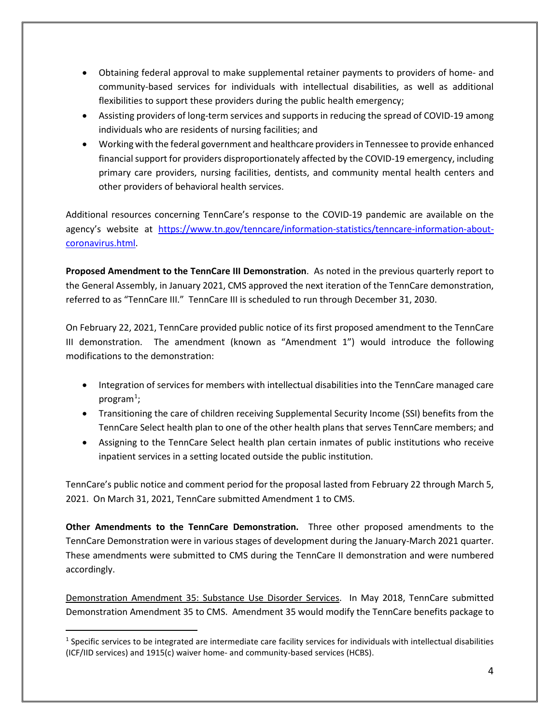- Obtaining federal approval to make supplemental retainer payments to providers of home- and community-based services for individuals with intellectual disabilities, as well as additional flexibilities to support these providers during the public health emergency;
- Assisting providers of long-term services and supports in reducing the spread of COVID-19 among individuals who are residents of nursing facilities; and
- Working with the federal government and healthcare providers in Tennessee to provide enhanced financial support for providers disproportionately affected by the COVID-19 emergency, including primary care providers, nursing facilities, dentists, and community mental health centers and other providers of behavioral health services.

Additional resources concerning TennCare's response to the COVID-19 pandemic are available on the agency's website at [https://www.tn.gov/tenncare/information-statistics/tenncare-information-about](https://www.tn.gov/tenncare/information-statistics/tenncare-information-about-coronavirus.html)[coronavirus.html.](https://www.tn.gov/tenncare/information-statistics/tenncare-information-about-coronavirus.html)

**Proposed Amendment to the TennCare III Demonstration**. As noted in the previous quarterly report to the General Assembly, in January 2021, CMS approved the next iteration of the TennCare demonstration, referred to as "TennCare III." TennCare III is scheduled to run through December 31, 2030.

On February 22, 2021, TennCare provided public notice of its first proposed amendment to the TennCare III demonstration. The amendment (known as "Amendment 1") would introduce the following modifications to the demonstration:

- Integration of services for members with intellectual disabilities into the TennCare managed care program $^1$  $^1$ ;
- Transitioning the care of children receiving Supplemental Security Income (SSI) benefits from the TennCare Select health plan to one of the other health plans that serves TennCare members; and
- Assigning to the TennCare Select health plan certain inmates of public institutions who receive inpatient services in a setting located outside the public institution.

TennCare's public notice and comment period for the proposal lasted from February 22 through March 5, 2021. On March 31, 2021, TennCare submitted Amendment 1 to CMS.

**Other Amendments to the TennCare Demonstration.** Three other proposed amendments to the TennCare Demonstration were in various stages of development during the January-March 2021 quarter. These amendments were submitted to CMS during the TennCare II demonstration and were numbered accordingly.

Demonstration Amendment 35: Substance Use Disorder Services. In May 2018, TennCare submitted Demonstration Amendment 35 to CMS. Amendment 35 would modify the TennCare benefits package to

<span id="page-3-0"></span> $1$  Specific services to be integrated are intermediate care facility services for individuals with intellectual disabilities (ICF/IID services) and 1915(c) waiver home- and community-based services (HCBS).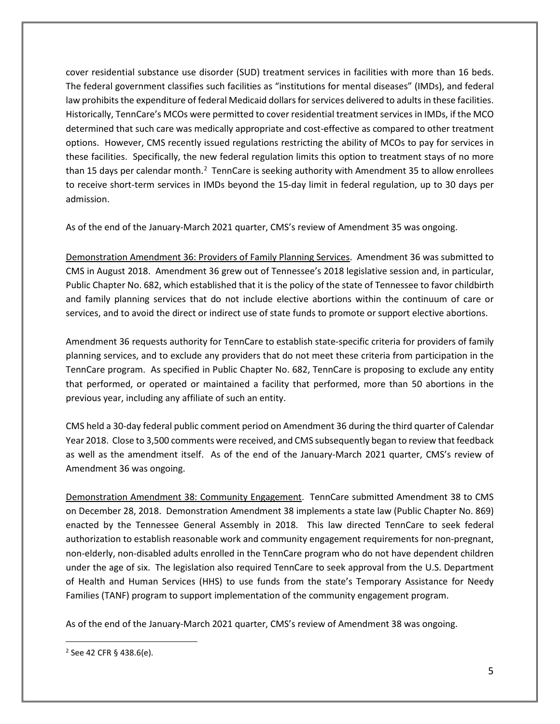cover residential substance use disorder (SUD) treatment services in facilities with more than 16 beds. The federal government classifies such facilities as "institutions for mental diseases" (IMDs), and federal law prohibits the expenditure of federal Medicaid dollars for services delivered to adults in these facilities. Historically, TennCare's MCOs were permitted to cover residential treatment services in IMDs, if the MCO determined that such care was medically appropriate and cost-effective as compared to other treatment options. However, CMS recently issued regulations restricting the ability of MCOs to pay for services in these facilities. Specifically, the new federal regulation limits this option to treatment stays of no more than 15 days per calendar month.<sup>[2](#page-4-0)</sup> TennCare is seeking authority with Amendment 35 to allow enrollees to receive short-term services in IMDs beyond the 15-day limit in federal regulation, up to 30 days per admission.

As of the end of the January-March 2021 quarter, CMS's review of Amendment 35 was ongoing.

Demonstration Amendment 36: Providers of Family Planning Services. Amendment 36 was submitted to CMS in August 2018. Amendment 36 grew out of Tennessee's 2018 legislative session and, in particular, Public Chapter No. 682, which established that it is the policy of the state of Tennessee to favor childbirth and family planning services that do not include elective abortions within the continuum of care or services, and to avoid the direct or indirect use of state funds to promote or support elective abortions.

Amendment 36 requests authority for TennCare to establish state-specific criteria for providers of family planning services, and to exclude any providers that do not meet these criteria from participation in the TennCare program. As specified in Public Chapter No. 682, TennCare is proposing to exclude any entity that performed, or operated or maintained a facility that performed, more than 50 abortions in the previous year, including any affiliate of such an entity.

CMS held a 30-day federal public comment period on Amendment 36 during the third quarter of Calendar Year 2018. Close to 3,500 comments were received, and CMS subsequently began to review that feedback as well as the amendment itself. As of the end of the January-March 2021 quarter, CMS's review of Amendment 36 was ongoing.

Demonstration Amendment 38: Community Engagement. TennCare submitted Amendment 38 to CMS on December 28, 2018. Demonstration Amendment 38 implements a state law (Public Chapter No. 869) enacted by the Tennessee General Assembly in 2018. This law directed TennCare to seek federal authorization to establish reasonable work and community engagement requirements for non-pregnant, non-elderly, non-disabled adults enrolled in the TennCare program who do not have dependent children under the age of six. The legislation also required TennCare to seek approval from the U.S. Department of Health and Human Services (HHS) to use funds from the state's Temporary Assistance for Needy Families (TANF) program to support implementation of the community engagement program.

As of the end of the January-March 2021 quarter, CMS's review of Amendment 38 was ongoing.

<span id="page-4-0"></span><sup>2</sup> See 42 CFR § 438.6(e).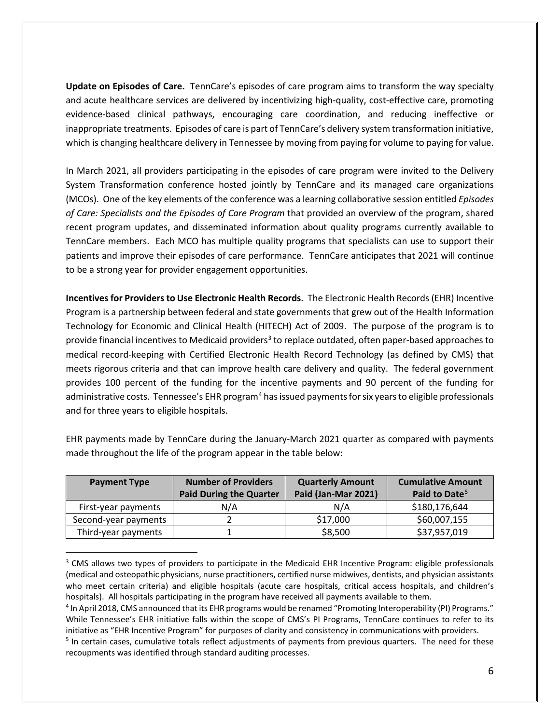**Update on Episodes of Care.** TennCare's episodes of care program aims to transform the way specialty and acute healthcare services are delivered by incentivizing high-quality, cost-effective care, promoting evidence-based clinical pathways, encouraging care coordination, and reducing ineffective or inappropriate treatments. Episodes of care is part of TennCare's delivery system transformation initiative, which is changing healthcare delivery in Tennessee by moving from paying for volume to paying for value.

In March 2021, all providers participating in the episodes of care program were invited to the Delivery System Transformation conference hosted jointly by TennCare and its managed care organizations (MCOs). One of the key elements of the conference was a learning collaborative session entitled *Episodes of Care: Specialists and the Episodes of Care Program* that provided an overview of the program, shared recent program updates, and disseminated information about quality programs currently available to TennCare members. Each MCO has multiple quality programs that specialists can use to support their patients and improve their episodes of care performance. TennCare anticipates that 2021 will continue to be a strong year for provider engagement opportunities.

**Incentives for Providers to Use Electronic Health Records.** The Electronic Health Records (EHR) Incentive Program is a partnership between federal and state governments that grew out of the Health Information Technology for Economic and Clinical Health (HITECH) Act of 2009. The purpose of the program is to provide financial incentives to Medicaid providers<sup>[3](#page-5-0)</sup> to replace outdated, often paper-based approaches to medical record-keeping with Certified Electronic Health Record Technology (as defined by CMS) that meets rigorous criteria and that can improve health care delivery and quality. The federal government provides 100 percent of the funding for the incentive payments and 90 percent of the funding for administrative costs. Tennessee's EHR program<sup>[4](#page-5-1)</sup> has issued payments for six years to eligible professionals and for three years to eligible hospitals.

| <b>Payment Type</b>  | <b>Number of Providers</b><br><b>Paid During the Quarter</b> | <b>Quarterly Amount</b><br>Paid (Jan-Mar 2021) | <b>Cumulative Amount</b><br>Paid to Date <sup>5</sup> |
|----------------------|--------------------------------------------------------------|------------------------------------------------|-------------------------------------------------------|
| First-year payments  | N/A                                                          | N/A                                            | \$180,176,644                                         |
| Second-year payments |                                                              | \$17,000                                       | \$60,007,155                                          |
| Third-year payments  |                                                              | \$8,500                                        | \$37,957,019                                          |

EHR payments made by TennCare during the January-March 2021 quarter as compared with payments made throughout the life of the program appear in the table below:

<span id="page-5-0"></span><sup>&</sup>lt;sup>3</sup> CMS allows two types of providers to participate in the Medicaid EHR Incentive Program: eligible professionals (medical and osteopathic physicians, nurse practitioners, certified nurse midwives, dentists, and physician assistants who meet certain criteria) and eligible hospitals (acute care hospitals, critical access hospitals, and children's hospitals). All hospitals participating in the program have received all payments available to them.

<span id="page-5-1"></span><sup>4</sup> In April 2018, CMS announced that its EHR programs would be renamed "Promoting Interoperability (PI) Programs." While Tennessee's EHR initiative falls within the scope of CMS's PI Programs, TennCare continues to refer to its initiative as "EHR Incentive Program" for purposes of clarity and consistency in communications with providers.

<span id="page-5-2"></span><sup>&</sup>lt;sup>5</sup> In certain cases, cumulative totals reflect adjustments of payments from previous quarters. The need for these recoupments was identified through standard auditing processes.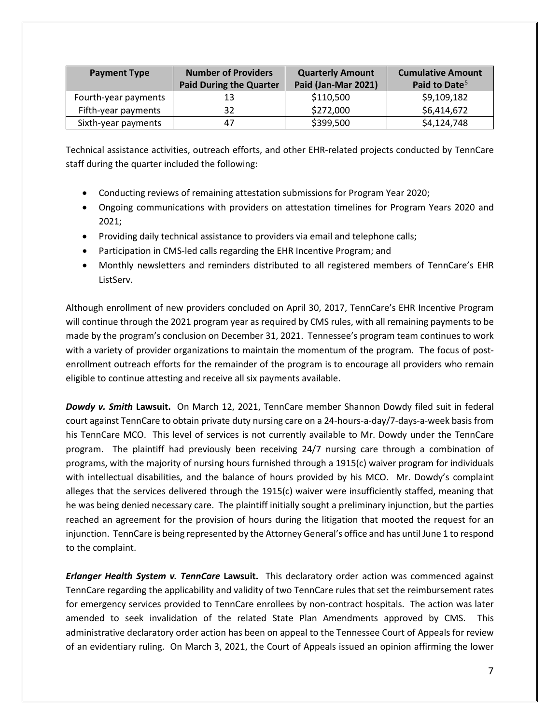| <b>Payment Type</b>  | <b>Number of Providers</b>     | <b>Quarterly Amount</b> | <b>Cumulative Amount</b>  |
|----------------------|--------------------------------|-------------------------|---------------------------|
|                      | <b>Paid During the Quarter</b> | Paid (Jan-Mar 2021)     | Paid to Date <sup>5</sup> |
| Fourth-year payments | 13                             | \$110,500               | \$9,109,182               |
| Fifth-year payments  | 32                             | \$272,000               | \$6,414,672               |
| Sixth-year payments  | 47                             | \$399,500               | \$4,124,748               |

Technical assistance activities, outreach efforts, and other EHR-related projects conducted by TennCare staff during the quarter included the following:

- Conducting reviews of remaining attestation submissions for Program Year 2020;
- Ongoing communications with providers on attestation timelines for Program Years 2020 and 2021;
- Providing daily technical assistance to providers via email and telephone calls;
- Participation in CMS-led calls regarding the EHR Incentive Program; and
- Monthly newsletters and reminders distributed to all registered members of TennCare's EHR ListServ.

Although enrollment of new providers concluded on April 30, 2017, TennCare's EHR Incentive Program will continue through the 2021 program year as required by CMS rules, with all remaining payments to be made by the program's conclusion on December 31, 2021. Tennessee's program team continues to work with a variety of provider organizations to maintain the momentum of the program. The focus of postenrollment outreach efforts for the remainder of the program is to encourage all providers who remain eligible to continue attesting and receive all six payments available.

*Dowdy v. Smith* **Lawsuit.** On March 12, 2021, TennCare member Shannon Dowdy filed suit in federal court against TennCare to obtain private duty nursing care on a 24-hours-a-day/7-days-a-week basis from his TennCare MCO. This level of services is not currently available to Mr. Dowdy under the TennCare program. The plaintiff had previously been receiving 24/7 nursing care through a combination of programs, with the majority of nursing hours furnished through a 1915(c) waiver program for individuals with intellectual disabilities, and the balance of hours provided by his MCO. Mr. Dowdy's complaint alleges that the services delivered through the 1915(c) waiver were insufficiently staffed, meaning that he was being denied necessary care. The plaintiff initially sought a preliminary injunction, but the parties reached an agreement for the provision of hours during the litigation that mooted the request for an injunction. TennCare is being represented by the Attorney General's office and has until June 1 to respond to the complaint.

*Erlanger Health System v. TennCare* **Lawsuit.** This declaratory order action was commenced against TennCare regarding the applicability and validity of two TennCare rules that set the reimbursement rates for emergency services provided to TennCare enrollees by non-contract hospitals. The action was later amended to seek invalidation of the related State Plan Amendments approved by CMS. This administrative declaratory order action has been on appeal to the Tennessee Court of Appeals for review of an evidentiary ruling. On March 3, 2021, the Court of Appeals issued an opinion affirming the lower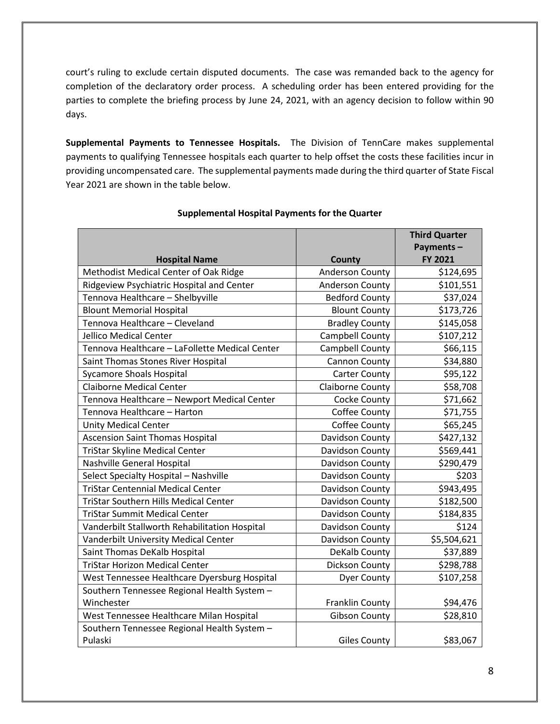court's ruling to exclude certain disputed documents. The case was remanded back to the agency for completion of the declaratory order process. A scheduling order has been entered providing for the parties to complete the briefing process by June 24, 2021, with an agency decision to follow within 90 days.

**Supplemental Payments to Tennessee Hospitals.** The Division of TennCare makes supplemental payments to qualifying Tennessee hospitals each quarter to help offset the costs these facilities incur in providing uncompensated care. The supplemental payments made during the third quarter of State Fiscal Year 2021 are shown in the table below.

|                                                |                        | <b>Third Quarter</b> |
|------------------------------------------------|------------------------|----------------------|
|                                                |                        | Payments-            |
| <b>Hospital Name</b>                           | County                 | FY 2021              |
| Methodist Medical Center of Oak Ridge          | <b>Anderson County</b> | \$124,695            |
| Ridgeview Psychiatric Hospital and Center      | <b>Anderson County</b> | \$101,551            |
| Tennova Healthcare - Shelbyville               | <b>Bedford County</b>  | \$37,024             |
| <b>Blount Memorial Hospital</b>                | <b>Blount County</b>   | \$173,726            |
| Tennova Healthcare - Cleveland                 | <b>Bradley County</b>  | \$145,058            |
| Jellico Medical Center                         | Campbell County        | \$107,212            |
| Tennova Healthcare - LaFollette Medical Center | Campbell County        | \$66,115             |
| Saint Thomas Stones River Hospital             | Cannon County          | \$34,880             |
| <b>Sycamore Shoals Hospital</b>                | <b>Carter County</b>   | \$95,122             |
| <b>Claiborne Medical Center</b>                | Claiborne County       | \$58,708             |
| Tennova Healthcare - Newport Medical Center    | Cocke County           | \$71,662             |
| Tennova Healthcare - Harton                    | Coffee County          | \$71,755             |
| <b>Unity Medical Center</b>                    | Coffee County          | \$65,245             |
| <b>Ascension Saint Thomas Hospital</b>         | Davidson County        | \$427,132            |
| TriStar Skyline Medical Center                 | Davidson County        | \$569,441            |
| Nashville General Hospital                     | Davidson County        | \$290,479            |
| Select Specialty Hospital - Nashville          | Davidson County        | \$203                |
| <b>TriStar Centennial Medical Center</b>       | Davidson County        | \$943,495            |
| <b>TriStar Southern Hills Medical Center</b>   | Davidson County        | \$182,500            |
| <b>TriStar Summit Medical Center</b>           | Davidson County        | \$184,835            |
| Vanderbilt Stallworth Rehabilitation Hospital  | Davidson County        | \$124                |
| Vanderbilt University Medical Center           | Davidson County        | \$5,504,621          |
| Saint Thomas DeKalb Hospital                   | DeKalb County          | \$37,889             |
| <b>TriStar Horizon Medical Center</b>          | Dickson County         | \$298,788            |
| West Tennessee Healthcare Dyersburg Hospital   | <b>Dyer County</b>     | \$107,258            |
| Southern Tennessee Regional Health System -    |                        |                      |
| Winchester                                     | Franklin County        | \$94,476             |
| West Tennessee Healthcare Milan Hospital       | <b>Gibson County</b>   | \$28,810             |
| Southern Tennessee Regional Health System -    |                        |                      |
| Pulaski                                        | <b>Giles County</b>    | \$83,067             |

#### **Supplemental Hospital Payments for the Quarter**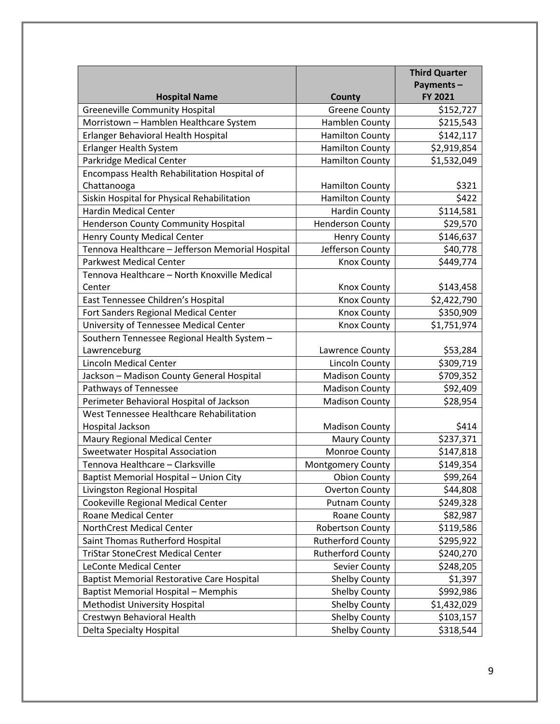|                                                               |                                        | <b>Third Quarter</b>   |
|---------------------------------------------------------------|----------------------------------------|------------------------|
|                                                               |                                        | Payments-<br>FY 2021   |
| <b>Hospital Name</b><br><b>Greeneville Community Hospital</b> | <b>County</b>                          |                        |
| Morristown - Hamblen Healthcare System                        | <b>Greene County</b><br>Hamblen County | \$152,727<br>\$215,543 |
| Erlanger Behavioral Health Hospital                           | <b>Hamilton County</b>                 | \$142,117              |
| <b>Erlanger Health System</b>                                 | <b>Hamilton County</b>                 | \$2,919,854            |
| Parkridge Medical Center                                      | <b>Hamilton County</b>                 | \$1,532,049            |
| Encompass Health Rehabilitation Hospital of                   |                                        |                        |
| Chattanooga                                                   | <b>Hamilton County</b>                 | \$321                  |
| Siskin Hospital for Physical Rehabilitation                   | <b>Hamilton County</b>                 | \$422                  |
| <b>Hardin Medical Center</b>                                  | <b>Hardin County</b>                   | \$114,581              |
| <b>Henderson County Community Hospital</b>                    | <b>Henderson County</b>                | \$29,570               |
| <b>Henry County Medical Center</b>                            | <b>Henry County</b>                    | \$146,637              |
| Tennova Healthcare - Jefferson Memorial Hospital              | Jefferson County                       | \$40,778               |
| <b>Parkwest Medical Center</b>                                | <b>Knox County</b>                     | \$449,774              |
| Tennova Healthcare - North Knoxville Medical                  |                                        |                        |
| Center                                                        | <b>Knox County</b>                     | \$143,458              |
| East Tennessee Children's Hospital                            | <b>Knox County</b>                     | \$2,422,790            |
| Fort Sanders Regional Medical Center                          | <b>Knox County</b>                     | \$350,909              |
| University of Tennessee Medical Center                        | <b>Knox County</b>                     | \$1,751,974            |
| Southern Tennessee Regional Health System -                   |                                        |                        |
| Lawrenceburg                                                  | Lawrence County                        | \$53,284               |
| <b>Lincoln Medical Center</b>                                 | <b>Lincoln County</b>                  | \$309,719              |
| Jackson - Madison County General Hospital                     | <b>Madison County</b>                  | \$709,352              |
| Pathways of Tennessee                                         | <b>Madison County</b>                  | \$92,409               |
| Perimeter Behavioral Hospital of Jackson                      | <b>Madison County</b>                  | \$28,954               |
| West Tennessee Healthcare Rehabilitation                      |                                        |                        |
| Hospital Jackson                                              | <b>Madison County</b>                  | \$414                  |
| Maury Regional Medical Center                                 | <b>Maury County</b>                    | \$237,371              |
| Sweetwater Hospital Association                               | Monroe County                          | \$147,818              |
| Tennova Healthcare - Clarksville                              | <b>Montgomery County</b>               | \$149,354              |
| Baptist Memorial Hospital - Union City                        | <b>Obion County</b>                    | \$99,264               |
| Livingston Regional Hospital                                  | <b>Overton County</b>                  | \$44,808               |
| Cookeville Regional Medical Center                            | <b>Putnam County</b>                   | \$249,328              |
| <b>Roane Medical Center</b>                                   | <b>Roane County</b>                    | \$82,987               |
| NorthCrest Medical Center                                     | <b>Robertson County</b>                | \$119,586              |
| Saint Thomas Rutherford Hospital                              | <b>Rutherford County</b>               | \$295,922              |
| <b>TriStar StoneCrest Medical Center</b>                      | <b>Rutherford County</b>               | \$240,270              |
| <b>LeConte Medical Center</b>                                 | Sevier County                          | \$248,205              |
| <b>Baptist Memorial Restorative Care Hospital</b>             | <b>Shelby County</b>                   | \$1,397                |
| <b>Baptist Memorial Hospital - Memphis</b>                    | <b>Shelby County</b>                   | \$992,986              |
| <b>Methodist University Hospital</b>                          | Shelby County                          | \$1,432,029            |
| Crestwyn Behavioral Health                                    | <b>Shelby County</b>                   | \$103,157              |
| Delta Specialty Hospital                                      | Shelby County                          | \$318,544              |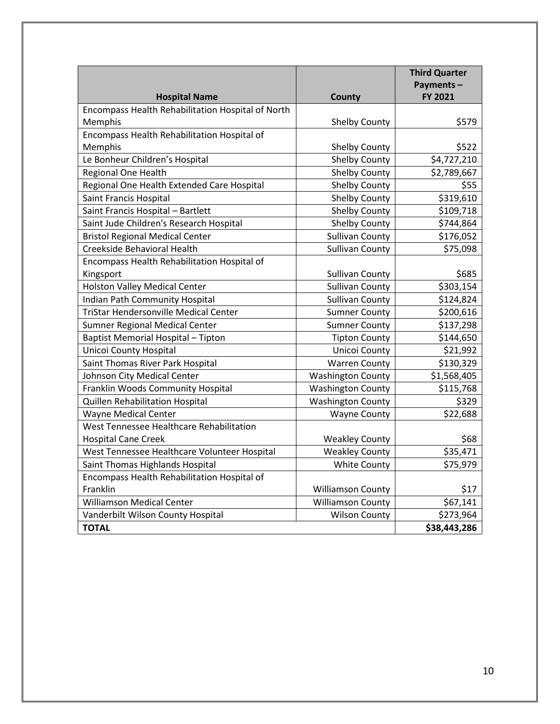|                                                   |                          | <b>Third Quarter</b> |
|---------------------------------------------------|--------------------------|----------------------|
|                                                   |                          | Payments-            |
| <b>Hospital Name</b>                              | <b>County</b>            | FY 2021              |
| Encompass Health Rehabilitation Hospital of North |                          |                      |
| Memphis                                           | Shelby County            | \$579                |
| Encompass Health Rehabilitation Hospital of       |                          |                      |
| Memphis                                           | <b>Shelby County</b>     | \$522                |
| Le Bonheur Children's Hospital                    | Shelby County            | \$4,727,210          |
| Regional One Health                               | Shelby County            | \$2,789,667          |
| Regional One Health Extended Care Hospital        | <b>Shelby County</b>     | \$55                 |
| Saint Francis Hospital                            | <b>Shelby County</b>     | \$319,610            |
| Saint Francis Hospital - Bartlett                 | <b>Shelby County</b>     | \$109,718            |
| Saint Jude Children's Research Hospital           | <b>Shelby County</b>     | \$744,864            |
| <b>Bristol Regional Medical Center</b>            | <b>Sullivan County</b>   | \$176,052            |
| Creekside Behavioral Health                       | <b>Sullivan County</b>   | \$75,098             |
| Encompass Health Rehabilitation Hospital of       |                          |                      |
| Kingsport                                         | <b>Sullivan County</b>   | \$685                |
| <b>Holston Valley Medical Center</b>              | <b>Sullivan County</b>   | \$303,154            |
| <b>Indian Path Community Hospital</b>             | <b>Sullivan County</b>   | \$124,824            |
| <b>TriStar Hendersonville Medical Center</b>      | <b>Sumner County</b>     | \$200,616            |
| <b>Sumner Regional Medical Center</b>             | <b>Sumner County</b>     | \$137,298            |
| Baptist Memorial Hospital - Tipton                | <b>Tipton County</b>     | \$144,650            |
| <b>Unicoi County Hospital</b>                     | Unicoi County            | \$21,992             |
| Saint Thomas River Park Hospital                  | <b>Warren County</b>     | \$130,329            |
| Johnson City Medical Center                       | <b>Washington County</b> | \$1,568,405          |
| Franklin Woods Community Hospital                 | <b>Washington County</b> | \$115,768            |
| Quillen Rehabilitation Hospital                   | <b>Washington County</b> | \$329                |
| <b>Wayne Medical Center</b>                       | <b>Wayne County</b>      | \$22,688             |
| West Tennessee Healthcare Rehabilitation          |                          |                      |
| <b>Hospital Cane Creek</b>                        | <b>Weakley County</b>    | \$68                 |
| West Tennessee Healthcare Volunteer Hospital      | <b>Weakley County</b>    | \$35,471             |
| Saint Thomas Highlands Hospital                   | <b>White County</b>      | \$75,979             |
| Encompass Health Rehabilitation Hospital of       |                          |                      |
| Franklin                                          | <b>Williamson County</b> | \$17                 |
| Williamson Medical Center                         | <b>Williamson County</b> | \$67,141             |
| Vanderbilt Wilson County Hospital                 | <b>Wilson County</b>     | \$273,964            |
| <b>TOTAL</b>                                      |                          | \$38,443,286         |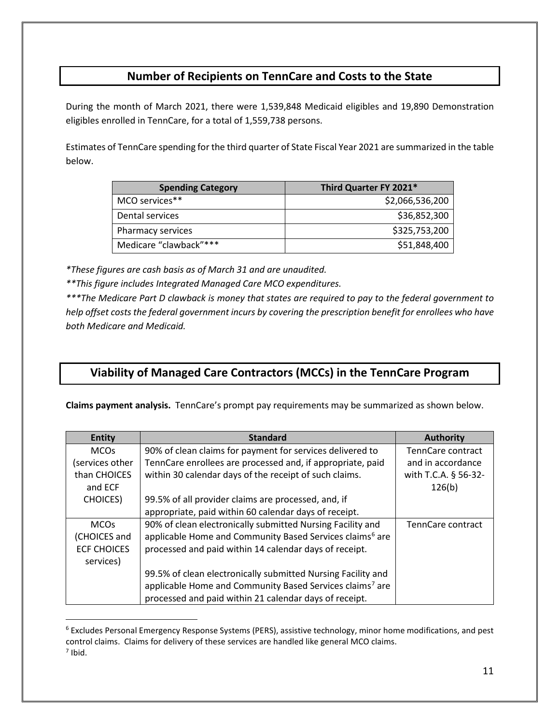## **Number of Recipients on TennCare and Costs to the State**

During the month of March 2021, there were 1,539,848 Medicaid eligibles and 19,890 Demonstration eligibles enrolled in TennCare, for a total of 1,559,738 persons.

Estimates of TennCare spending for the third quarter of State Fiscal Year 2021 are summarized in the table below.

| <b>Spending Category</b> | Third Quarter FY 2021* |
|--------------------------|------------------------|
| MCO services**           | \$2,066,536,200        |
| Dental services          | \$36,852,300           |
| Pharmacy services        | \$325,753,200          |
| Medicare "clawback"***   | \$51,848,400           |

*\*These figures are cash basis as of March 31 and are unaudited.*

*\*\*This figure includes Integrated Managed Care MCO expenditures.*

*\*\*\*The Medicare Part D clawback is money that states are required to pay to the federal government to help offset costs the federal government incurs by covering the prescription benefit for enrollees who have both Medicare and Medicaid.*

## **Viability of Managed Care Contractors (MCCs) in the TennCare Program**

**Claims payment analysis.** TennCare's prompt pay requirements may be summarized as shown below.

| <b>Entity</b>          | <b>Standard</b>                                                      | <b>Authority</b>         |
|------------------------|----------------------------------------------------------------------|--------------------------|
| <b>MCOs</b>            | 90% of clean claims for payment for services delivered to            | TennCare contract        |
| services other         | TennCare enrollees are processed and, if appropriate, paid           | and in accordance        |
| than CHOICES           | within 30 calendar days of the receipt of such claims.               | with T.C.A. § 56-32-     |
| and ECF                |                                                                      | 126(b)                   |
| <b>CHOICES</b> )       | 99.5% of all provider claims are processed, and, if                  |                          |
|                        | appropriate, paid within 60 calendar days of receipt.                |                          |
| <b>MCO<sub>s</sub></b> | 90% of clean electronically submitted Nursing Facility and           | <b>TennCare contract</b> |
| (CHOICES and           | applicable Home and Community Based Services claims <sup>6</sup> are |                          |
| <b>ECF CHOICES</b>     | processed and paid within 14 calendar days of receipt.               |                          |
| services)              |                                                                      |                          |
|                        | 99.5% of clean electronically submitted Nursing Facility and         |                          |
|                        | applicable Home and Community Based Services claims <sup>7</sup> are |                          |
|                        | processed and paid within 21 calendar days of receipt.               |                          |

<span id="page-10-1"></span><span id="page-10-0"></span><sup>6</sup> Excludes Personal Emergency Response Systems (PERS), assistive technology, minor home modifications, and pest control claims. Claims for delivery of these services are handled like general MCO claims. <sup>7</sup> Ibid.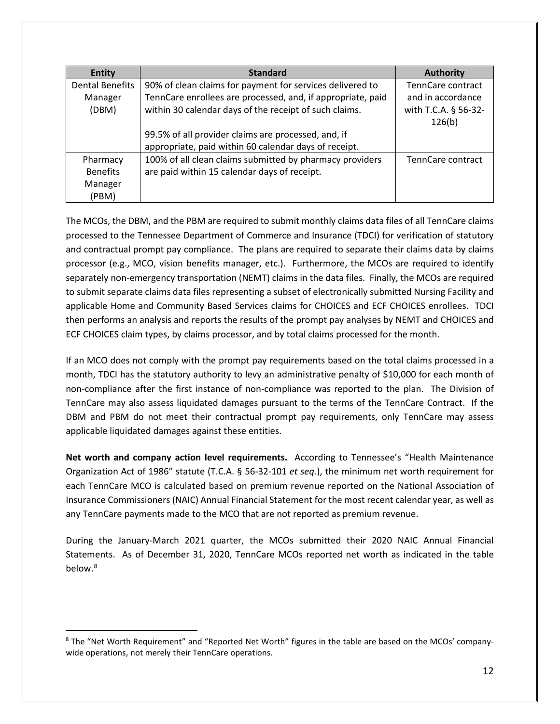| <b>Entity</b>          | <b>Standard</b>                                             | <b>Authority</b>     |
|------------------------|-------------------------------------------------------------|----------------------|
| <b>Dental Benefits</b> | 90% of clean claims for payment for services delivered to   | TennCare contract    |
| Manager                | TennCare enrollees are processed, and, if appropriate, paid | and in accordance    |
| (DBM)                  | within 30 calendar days of the receipt of such claims.      | with T.C.A. § 56-32- |
|                        |                                                             | 126(b)               |
|                        | 99.5% of all provider claims are processed, and, if         |                      |
|                        | appropriate, paid within 60 calendar days of receipt.       |                      |
| Pharmacy               | 100% of all clean claims submitted by pharmacy providers    | TennCare contract    |
| <b>Benefits</b>        | are paid within 15 calendar days of receipt.                |                      |
| Manager                |                                                             |                      |
| (PBM)                  |                                                             |                      |

The MCOs, the DBM, and the PBM are required to submit monthly claims data files of all TennCare claims processed to the Tennessee Department of Commerce and Insurance (TDCI) for verification of statutory and contractual prompt pay compliance. The plans are required to separate their claims data by claims processor (e.g., MCO, vision benefits manager, etc.). Furthermore, the MCOs are required to identify separately non-emergency transportation (NEMT) claims in the data files. Finally, the MCOs are required to submit separate claims data files representing a subset of electronically submitted Nursing Facility and applicable Home and Community Based Services claims for CHOICES and ECF CHOICES enrollees. TDCI then performs an analysis and reports the results of the prompt pay analyses by NEMT and CHOICES and ECF CHOICES claim types, by claims processor, and by total claims processed for the month.

If an MCO does not comply with the prompt pay requirements based on the total claims processed in a month, TDCI has the statutory authority to levy an administrative penalty of \$10,000 for each month of non-compliance after the first instance of non-compliance was reported to the plan. The Division of TennCare may also assess liquidated damages pursuant to the terms of the TennCare Contract. If the DBM and PBM do not meet their contractual prompt pay requirements, only TennCare may assess applicable liquidated damages against these entities.

**Net worth and company action level requirements.** According to Tennessee's "Health Maintenance Organization Act of 1986" statute (T.C.A. § 56-32-101 *et seq.*), the minimum net worth requirement for each TennCare MCO is calculated based on premium revenue reported on the National Association of Insurance Commissioners (NAIC) Annual Financial Statement for the most recent calendar year, as well as any TennCare payments made to the MCO that are not reported as premium revenue.

During the January-March 2021 quarter, the MCOs submitted their 2020 NAIC Annual Financial Statements. As of December 31, 2020, TennCare MCOs reported net worth as indicated in the table below.<sup>[8](#page-11-0)</sup>

<span id="page-11-0"></span><sup>8</sup> The "Net Worth Requirement" and "Reported Net Worth" figures in the table are based on the MCOs' companywide operations, not merely their TennCare operations.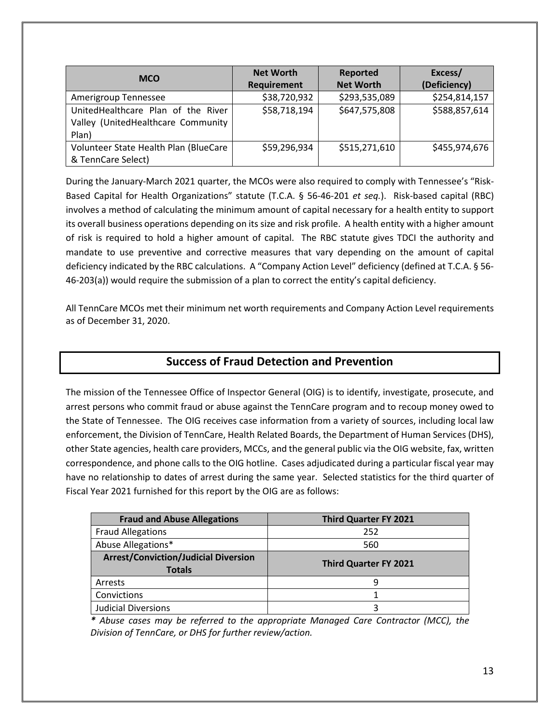| <b>MCO</b>                            | <b>Net Worth</b>   | Reported         | Excess/       |
|---------------------------------------|--------------------|------------------|---------------|
|                                       | <b>Requirement</b> | <b>Net Worth</b> | (Deficiency)  |
| Amerigroup Tennessee                  | \$38,720,932       | \$293,535,089    | \$254,814,157 |
| UnitedHealthcare Plan of the River    | \$58,718,194       | \$647,575,808    | \$588,857,614 |
| Valley (UnitedHealthcare Community    |                    |                  |               |
| Plan)                                 |                    |                  |               |
| Volunteer State Health Plan (BlueCare | \$59,296,934       | \$515,271,610    | \$455,974,676 |
| & TennCare Select)                    |                    |                  |               |

During the January-March 2021 quarter, the MCOs were also required to comply with Tennessee's "Risk-Based Capital for Health Organizations" statute (T.C.A. § 56-46-201 *et seq.*). Risk-based capital (RBC) involves a method of calculating the minimum amount of capital necessary for a health entity to support its overall business operations depending on its size and risk profile. A health entity with a higher amount of risk is required to hold a higher amount of capital. The RBC statute gives TDCI the authority and mandate to use preventive and corrective measures that vary depending on the amount of capital deficiency indicated by the RBC calculations. A "Company Action Level" deficiency (defined at T.C.A. § 56- 46-203(a)) would require the submission of a plan to correct the entity's capital deficiency.

All TennCare MCOs met their minimum net worth requirements and Company Action Level requirements as of December 31, 2020.

## **Success of Fraud Detection and Prevention**

The mission of the Tennessee Office of Inspector General (OIG) is to identify, investigate, prosecute, and arrest persons who commit fraud or abuse against the TennCare program and to recoup money owed to the State of Tennessee.The OIG receives case information from a variety of sources, including local law enforcement, the Division of TennCare, Health Related Boards, the Department of Human Services (DHS), other State agencies, health care providers, MCCs, and the general public via the OIG website, fax, written correspondence, and phone calls to the OIG hotline. Cases adjudicated during a particular fiscal year may have no relationship to dates of arrest during the same year. Selected statistics for the third quarter of Fiscal Year 2021 furnished for this report by the OIG are as follows:

| <b>Fraud and Abuse Allegations</b>                           | <b>Third Quarter FY 2021</b> |
|--------------------------------------------------------------|------------------------------|
| <b>Fraud Allegations</b>                                     | 252                          |
| Abuse Allegations*                                           | 560                          |
| <b>Arrest/Conviction/Judicial Diversion</b><br><b>Totals</b> | <b>Third Quarter FY 2021</b> |
| Arrests                                                      |                              |
| Convictions                                                  |                              |
| <b>Judicial Diversions</b>                                   |                              |

*\* Abuse cases may be referred to the appropriate Managed Care Contractor (MCC), the Division of TennCare, or DHS for further review/action.*